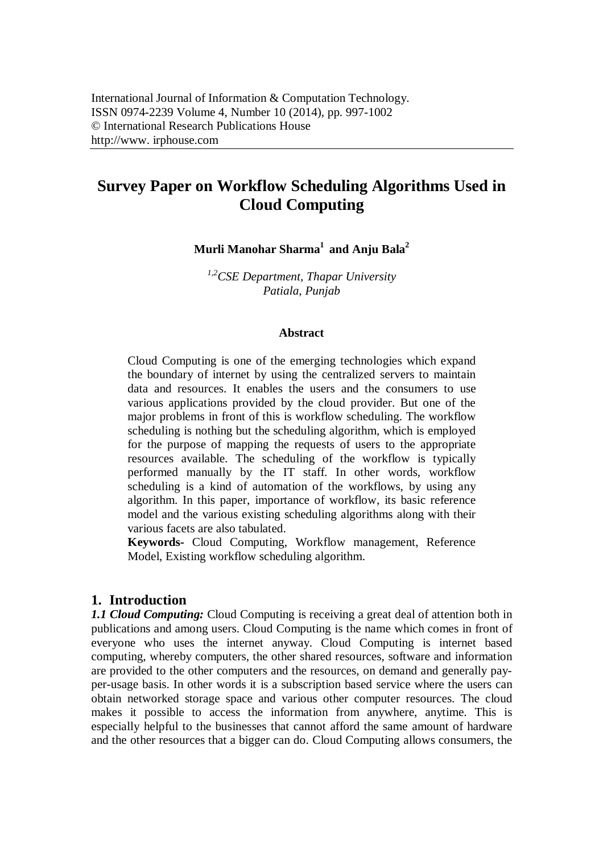# **Survey Paper on Workflow Scheduling Algorithms Used in Cloud Computing**

**Murli Manohar Sharma<sup>1</sup> and Anju Bala<sup>2</sup>**

*1,2CSE Department, Thapar University Patiala, Punjab*

#### **Abstract**

Cloud Computing is one of the emerging technologies which expand the boundary of internet by using the centralized servers to maintain data and resources. It enables the users and the consumers to use various applications provided by the cloud provider. But one of the major problems in front of this is workflow scheduling. The workflow scheduling is nothing but the scheduling algorithm, which is employed for the purpose of mapping the requests of users to the appropriate resources available. The scheduling of the workflow is typically performed manually by the IT staff. In other words, workflow scheduling is a kind of automation of the workflows, by using any algorithm. In this paper, importance of workflow, its basic reference model and the various existing scheduling algorithms along with their various facets are also tabulated.

**Keywords-** Cloud Computing, Workflow management, Reference Model, Existing workflow scheduling algorithm.

#### **1. Introduction**

*1.1 Cloud Computing:* Cloud Computing is receiving a great deal of attention both in publications and among users. Cloud Computing is the name which comes in front of everyone who uses the internet anyway. Cloud Computing is internet based computing, whereby computers, the other shared resources, software and information are provided to the other computers and the resources, on demand and generally payper-usage basis. In other words it is a subscription based service where the users can obtain networked storage space and various other computer resources. The cloud makes it possible to access the information from anywhere, anytime. This is especially helpful to the businesses that cannot afford the same amount of hardware and the other resources that a bigger can do. Cloud Computing allows consumers, the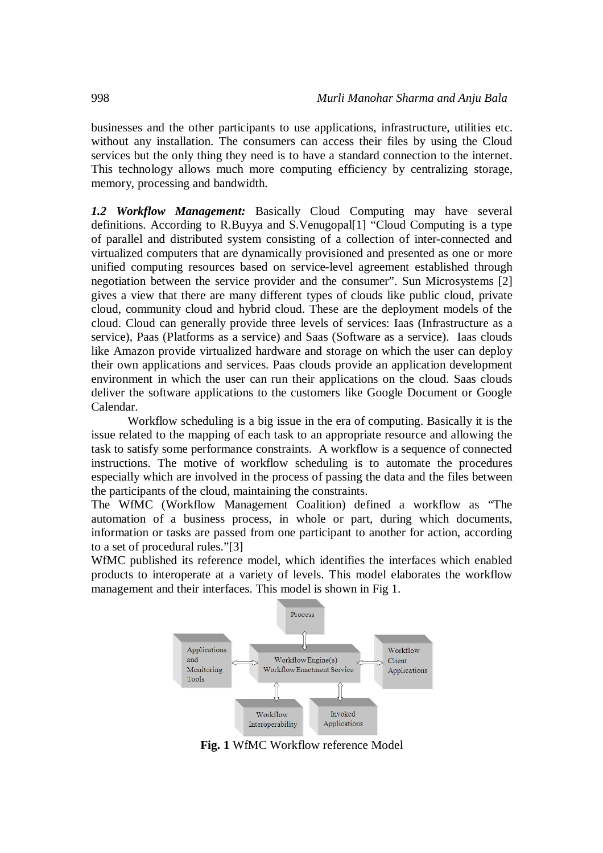businesses and the other participants to use applications, infrastructure, utilities etc. without any installation. The consumers can access their files by using the Cloud services but the only thing they need is to have a standard connection to the internet. This technology allows much more computing efficiency by centralizing storage, memory, processing and bandwidth.

*1.2 Workflow Management:* Basically Cloud Computing may have several definitions. According to R.Buyya and S.Venugopal[1] "Cloud Computing is a type of parallel and distributed system consisting of a collection of inter-connected and virtualized computers that are dynamically provisioned and presented as one or more unified computing resources based on service-level agreement established through negotiation between the service provider and the consumer". Sun Microsystems [2] gives a view that there are many different types of clouds like public cloud, private cloud, community cloud and hybrid cloud. These are the deployment models of the cloud. Cloud can generally provide three levels of services: Iaas (Infrastructure as a service), Paas (Platforms as a service) and Saas (Software as a service). Iaas clouds like Amazon provide virtualized hardware and storage on which the user can deploy their own applications and services. Paas clouds provide an application development environment in which the user can run their applications on the cloud. Saas clouds deliver the software applications to the customers like Google Document or Google Calendar.

Workflow scheduling is a big issue in the era of computing. Basically it is the issue related to the mapping of each task to an appropriate resource and allowing the task to satisfy some performance constraints. A workflow is a sequence of connected instructions. The motive of workflow scheduling is to automate the procedures especially which are involved in the process of passing the data and the files between the participants of the cloud, maintaining the constraints.

The WfMC (Workflow Management Coalition) defined a workflow as "The automation of a business process, in whole or part, during which documents, information or tasks are passed from one participant to another for action, according to a set of procedural rules."[3]

WfMC published its reference model, which identifies the interfaces which enabled products to interoperate at a variety of levels. This model elaborates the workflow management and their interfaces. This model is shown in Fig 1.



**Fig. 1** WfMC Workflow reference Model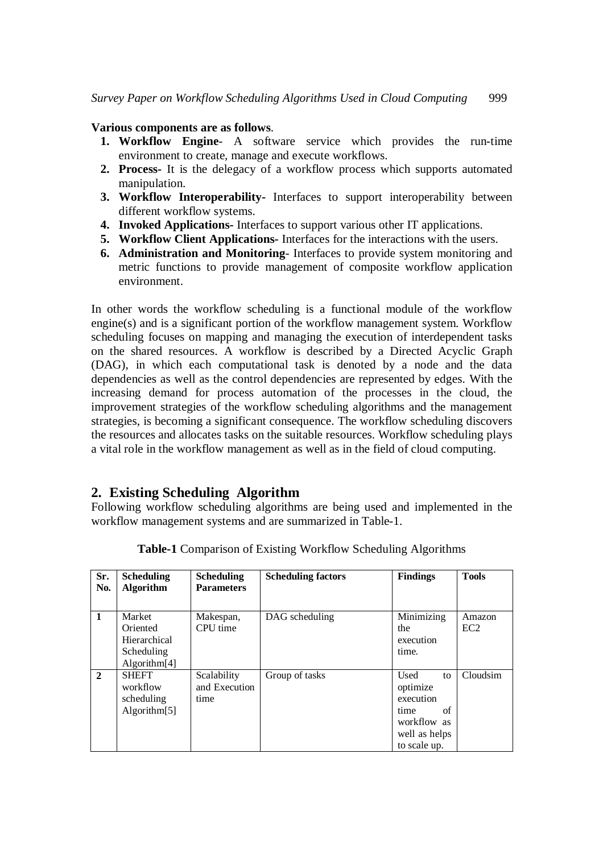#### **Various components are as follows**.

- **1. Workflow Engine** A software service which provides the run-time environment to create, manage and execute workflows.
- **2. Process-** It is the delegacy of a workflow process which supports automated manipulation.
- **3. Workflow Interoperability-** Interfaces to support interoperability between different workflow systems.
- **4. Invoked Applications-** Interfaces to support various other IT applications.
- **5. Workflow Client Applications-** Interfaces for the interactions with the users.
- **6. Administration and Monitoring** Interfaces to provide system monitoring and metric functions to provide management of composite workflow application environment.

In other words the workflow scheduling is a functional module of the workflow engine(s) and is a significant portion of the workflow management system. Workflow scheduling focuses on mapping and managing the execution of interdependent tasks on the shared resources. A workflow is described by a Directed Acyclic Graph (DAG), in which each computational task is denoted by a node and the data dependencies as well as the control dependencies are represented by edges. With the increasing demand for process automation of the processes in the cloud, the improvement strategies of the workflow scheduling algorithms and the management strategies, is becoming a significant consequence. The workflow scheduling discovers the resources and allocates tasks on the suitable resources. Workflow scheduling plays a vital role in the workflow management as well as in the field of cloud computing.

## **2. Existing Scheduling Algorithm**

Following workflow scheduling algorithms are being used and implemented in the workflow management systems and are summarized in Table-1.

| Sr.<br>No.     | <b>Scheduling</b><br><b>Algorithm</b>                                        | <b>Scheduling</b><br><b>Parameters</b> | <b>Scheduling factors</b> | <b>Findings</b>                                                                                   | <b>Tools</b>              |
|----------------|------------------------------------------------------------------------------|----------------------------------------|---------------------------|---------------------------------------------------------------------------------------------------|---------------------------|
| $\mathbf{1}$   | Market<br>Oriented<br>Hierarchical<br>Scheduling<br>Algorithm <sup>[4]</sup> | Makespan,<br>CPU time                  | DAG scheduling            | Minimizing<br>the<br>execution<br>time.                                                           | Amazon<br>EC <sub>2</sub> |
| $\overline{2}$ | <b>SHEFT</b><br>workflow<br>scheduling<br>Algorithm[5]                       | Scalability<br>and Execution<br>time   | Group of tasks            | Used<br>to<br>optimize<br>execution<br>of<br>time<br>workflow as<br>well as helps<br>to scale up. | Cloudsim                  |

**Table-1** Comparison of Existing Workflow Scheduling Algorithms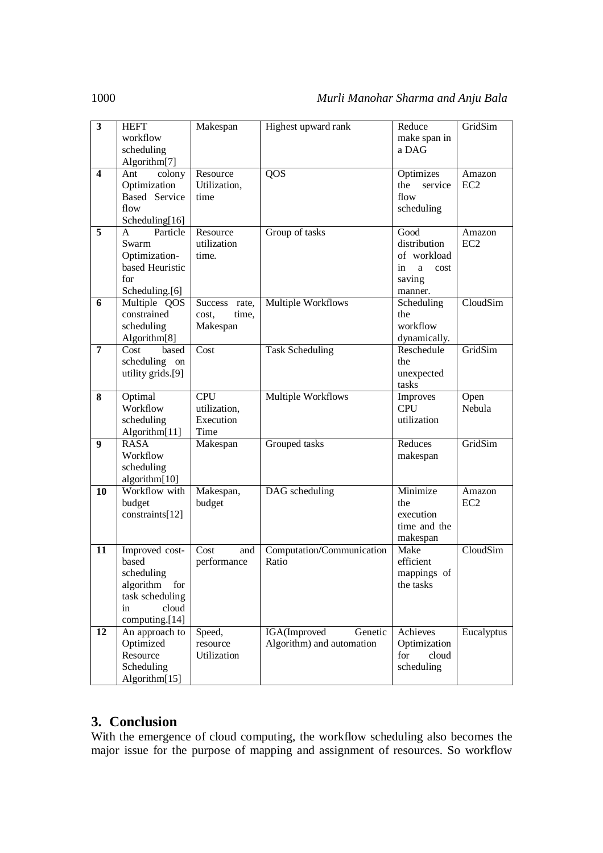| workflow<br>make span in<br>scheduling<br>a DAG<br>Algorithm <sup>[7]</sup><br>QOS<br>colony<br>Resource<br>$\overline{\mathbf{4}}$<br>Ant<br>Optimizes<br>Amazon<br>Optimization<br>Utilization,<br>EC <sub>2</sub><br>the<br>service<br>Based Service<br>flow<br>time<br>flow<br>scheduling<br>Scheduling[16]<br>5<br>Particle<br>Resource<br>Good<br>Group of tasks<br>Amazon<br>A<br>utilization<br>distribution<br>Swarm<br>EC <sub>2</sub><br>Optimization-<br>of workload<br>time.<br>based Heuristic<br>in<br>a<br>cost<br>for<br>saving<br>Scheduling.[6]<br>manner.<br>CloudSim<br>Multiple Workflows<br>Multiple QOS<br>6<br>Success rate,<br>Scheduling<br>constrained<br>time,<br>the<br>cost.<br>workflow<br>scheduling<br>Makespan<br>Algorithm <sup>[8]</sup><br>dynamically.<br>GridSim<br><b>Task Scheduling</b><br>Reschedule<br>$\overline{7}$<br>Cost<br>based<br>Cost<br>scheduling on<br>the<br>utility grids.[9]<br>unexpected<br>tasks<br>Optimal<br><b>CPU</b><br>8<br>Multiple Workflows<br>Open<br>Improves<br>Workflow<br><b>CPU</b><br>Nebula<br>utilization,<br>utilization<br>scheduling<br>Execution<br>Time<br>Algorithm[11]<br>GridSim<br><b>RASA</b><br>Reduces<br>9<br>Grouped tasks<br>Makespan<br>Workflow<br>makespan<br>scheduling<br>algorithm[10]<br>Minimize<br>Workflow with<br>Makespan,<br>DAG scheduling<br>10<br>Amazon<br>budget<br>EC <sub>2</sub><br>budget<br>the<br>constraints[12]<br>execution<br>time and the<br>makespan<br>CloudSim<br>Improved cost-<br>Cost<br>Computation/Communication<br>Make<br>11<br>and<br>based<br>Ratio<br>efficient<br>performance<br>mappings of<br>scheduling<br>algorithm<br>for<br>the tasks<br>task scheduling |                         |             |          |                     |        |         |
|-----------------------------------------------------------------------------------------------------------------------------------------------------------------------------------------------------------------------------------------------------------------------------------------------------------------------------------------------------------------------------------------------------------------------------------------------------------------------------------------------------------------------------------------------------------------------------------------------------------------------------------------------------------------------------------------------------------------------------------------------------------------------------------------------------------------------------------------------------------------------------------------------------------------------------------------------------------------------------------------------------------------------------------------------------------------------------------------------------------------------------------------------------------------------------------------------------------------------------------------------------------------------------------------------------------------------------------------------------------------------------------------------------------------------------------------------------------------------------------------------------------------------------------------------------------------------------------------------------------------------------------------------------------------------------------------------------------|-------------------------|-------------|----------|---------------------|--------|---------|
|                                                                                                                                                                                                                                                                                                                                                                                                                                                                                                                                                                                                                                                                                                                                                                                                                                                                                                                                                                                                                                                                                                                                                                                                                                                                                                                                                                                                                                                                                                                                                                                                                                                                                                           | $\overline{\mathbf{3}}$ | <b>HEFT</b> | Makespan | Highest upward rank | Reduce | GridSim |
|                                                                                                                                                                                                                                                                                                                                                                                                                                                                                                                                                                                                                                                                                                                                                                                                                                                                                                                                                                                                                                                                                                                                                                                                                                                                                                                                                                                                                                                                                                                                                                                                                                                                                                           |                         |             |          |                     |        |         |
|                                                                                                                                                                                                                                                                                                                                                                                                                                                                                                                                                                                                                                                                                                                                                                                                                                                                                                                                                                                                                                                                                                                                                                                                                                                                                                                                                                                                                                                                                                                                                                                                                                                                                                           |                         |             |          |                     |        |         |
|                                                                                                                                                                                                                                                                                                                                                                                                                                                                                                                                                                                                                                                                                                                                                                                                                                                                                                                                                                                                                                                                                                                                                                                                                                                                                                                                                                                                                                                                                                                                                                                                                                                                                                           |                         |             |          |                     |        |         |
|                                                                                                                                                                                                                                                                                                                                                                                                                                                                                                                                                                                                                                                                                                                                                                                                                                                                                                                                                                                                                                                                                                                                                                                                                                                                                                                                                                                                                                                                                                                                                                                                                                                                                                           |                         |             |          |                     |        |         |
|                                                                                                                                                                                                                                                                                                                                                                                                                                                                                                                                                                                                                                                                                                                                                                                                                                                                                                                                                                                                                                                                                                                                                                                                                                                                                                                                                                                                                                                                                                                                                                                                                                                                                                           |                         |             |          |                     |        |         |
|                                                                                                                                                                                                                                                                                                                                                                                                                                                                                                                                                                                                                                                                                                                                                                                                                                                                                                                                                                                                                                                                                                                                                                                                                                                                                                                                                                                                                                                                                                                                                                                                                                                                                                           |                         |             |          |                     |        |         |
|                                                                                                                                                                                                                                                                                                                                                                                                                                                                                                                                                                                                                                                                                                                                                                                                                                                                                                                                                                                                                                                                                                                                                                                                                                                                                                                                                                                                                                                                                                                                                                                                                                                                                                           |                         |             |          |                     |        |         |
|                                                                                                                                                                                                                                                                                                                                                                                                                                                                                                                                                                                                                                                                                                                                                                                                                                                                                                                                                                                                                                                                                                                                                                                                                                                                                                                                                                                                                                                                                                                                                                                                                                                                                                           |                         |             |          |                     |        |         |
|                                                                                                                                                                                                                                                                                                                                                                                                                                                                                                                                                                                                                                                                                                                                                                                                                                                                                                                                                                                                                                                                                                                                                                                                                                                                                                                                                                                                                                                                                                                                                                                                                                                                                                           |                         |             |          |                     |        |         |
|                                                                                                                                                                                                                                                                                                                                                                                                                                                                                                                                                                                                                                                                                                                                                                                                                                                                                                                                                                                                                                                                                                                                                                                                                                                                                                                                                                                                                                                                                                                                                                                                                                                                                                           |                         |             |          |                     |        |         |
|                                                                                                                                                                                                                                                                                                                                                                                                                                                                                                                                                                                                                                                                                                                                                                                                                                                                                                                                                                                                                                                                                                                                                                                                                                                                                                                                                                                                                                                                                                                                                                                                                                                                                                           |                         |             |          |                     |        |         |
|                                                                                                                                                                                                                                                                                                                                                                                                                                                                                                                                                                                                                                                                                                                                                                                                                                                                                                                                                                                                                                                                                                                                                                                                                                                                                                                                                                                                                                                                                                                                                                                                                                                                                                           |                         |             |          |                     |        |         |
|                                                                                                                                                                                                                                                                                                                                                                                                                                                                                                                                                                                                                                                                                                                                                                                                                                                                                                                                                                                                                                                                                                                                                                                                                                                                                                                                                                                                                                                                                                                                                                                                                                                                                                           |                         |             |          |                     |        |         |
|                                                                                                                                                                                                                                                                                                                                                                                                                                                                                                                                                                                                                                                                                                                                                                                                                                                                                                                                                                                                                                                                                                                                                                                                                                                                                                                                                                                                                                                                                                                                                                                                                                                                                                           |                         |             |          |                     |        |         |
|                                                                                                                                                                                                                                                                                                                                                                                                                                                                                                                                                                                                                                                                                                                                                                                                                                                                                                                                                                                                                                                                                                                                                                                                                                                                                                                                                                                                                                                                                                                                                                                                                                                                                                           |                         |             |          |                     |        |         |
|                                                                                                                                                                                                                                                                                                                                                                                                                                                                                                                                                                                                                                                                                                                                                                                                                                                                                                                                                                                                                                                                                                                                                                                                                                                                                                                                                                                                                                                                                                                                                                                                                                                                                                           |                         |             |          |                     |        |         |
|                                                                                                                                                                                                                                                                                                                                                                                                                                                                                                                                                                                                                                                                                                                                                                                                                                                                                                                                                                                                                                                                                                                                                                                                                                                                                                                                                                                                                                                                                                                                                                                                                                                                                                           |                         |             |          |                     |        |         |
|                                                                                                                                                                                                                                                                                                                                                                                                                                                                                                                                                                                                                                                                                                                                                                                                                                                                                                                                                                                                                                                                                                                                                                                                                                                                                                                                                                                                                                                                                                                                                                                                                                                                                                           |                         |             |          |                     |        |         |
|                                                                                                                                                                                                                                                                                                                                                                                                                                                                                                                                                                                                                                                                                                                                                                                                                                                                                                                                                                                                                                                                                                                                                                                                                                                                                                                                                                                                                                                                                                                                                                                                                                                                                                           |                         |             |          |                     |        |         |
|                                                                                                                                                                                                                                                                                                                                                                                                                                                                                                                                                                                                                                                                                                                                                                                                                                                                                                                                                                                                                                                                                                                                                                                                                                                                                                                                                                                                                                                                                                                                                                                                                                                                                                           |                         |             |          |                     |        |         |
|                                                                                                                                                                                                                                                                                                                                                                                                                                                                                                                                                                                                                                                                                                                                                                                                                                                                                                                                                                                                                                                                                                                                                                                                                                                                                                                                                                                                                                                                                                                                                                                                                                                                                                           |                         |             |          |                     |        |         |
|                                                                                                                                                                                                                                                                                                                                                                                                                                                                                                                                                                                                                                                                                                                                                                                                                                                                                                                                                                                                                                                                                                                                                                                                                                                                                                                                                                                                                                                                                                                                                                                                                                                                                                           |                         |             |          |                     |        |         |
|                                                                                                                                                                                                                                                                                                                                                                                                                                                                                                                                                                                                                                                                                                                                                                                                                                                                                                                                                                                                                                                                                                                                                                                                                                                                                                                                                                                                                                                                                                                                                                                                                                                                                                           |                         |             |          |                     |        |         |
|                                                                                                                                                                                                                                                                                                                                                                                                                                                                                                                                                                                                                                                                                                                                                                                                                                                                                                                                                                                                                                                                                                                                                                                                                                                                                                                                                                                                                                                                                                                                                                                                                                                                                                           |                         |             |          |                     |        |         |
|                                                                                                                                                                                                                                                                                                                                                                                                                                                                                                                                                                                                                                                                                                                                                                                                                                                                                                                                                                                                                                                                                                                                                                                                                                                                                                                                                                                                                                                                                                                                                                                                                                                                                                           |                         |             |          |                     |        |         |
|                                                                                                                                                                                                                                                                                                                                                                                                                                                                                                                                                                                                                                                                                                                                                                                                                                                                                                                                                                                                                                                                                                                                                                                                                                                                                                                                                                                                                                                                                                                                                                                                                                                                                                           |                         |             |          |                     |        |         |
|                                                                                                                                                                                                                                                                                                                                                                                                                                                                                                                                                                                                                                                                                                                                                                                                                                                                                                                                                                                                                                                                                                                                                                                                                                                                                                                                                                                                                                                                                                                                                                                                                                                                                                           |                         |             |          |                     |        |         |
|                                                                                                                                                                                                                                                                                                                                                                                                                                                                                                                                                                                                                                                                                                                                                                                                                                                                                                                                                                                                                                                                                                                                                                                                                                                                                                                                                                                                                                                                                                                                                                                                                                                                                                           |                         |             |          |                     |        |         |
|                                                                                                                                                                                                                                                                                                                                                                                                                                                                                                                                                                                                                                                                                                                                                                                                                                                                                                                                                                                                                                                                                                                                                                                                                                                                                                                                                                                                                                                                                                                                                                                                                                                                                                           |                         |             |          |                     |        |         |
|                                                                                                                                                                                                                                                                                                                                                                                                                                                                                                                                                                                                                                                                                                                                                                                                                                                                                                                                                                                                                                                                                                                                                                                                                                                                                                                                                                                                                                                                                                                                                                                                                                                                                                           |                         |             |          |                     |        |         |
|                                                                                                                                                                                                                                                                                                                                                                                                                                                                                                                                                                                                                                                                                                                                                                                                                                                                                                                                                                                                                                                                                                                                                                                                                                                                                                                                                                                                                                                                                                                                                                                                                                                                                                           |                         |             |          |                     |        |         |
|                                                                                                                                                                                                                                                                                                                                                                                                                                                                                                                                                                                                                                                                                                                                                                                                                                                                                                                                                                                                                                                                                                                                                                                                                                                                                                                                                                                                                                                                                                                                                                                                                                                                                                           |                         |             |          |                     |        |         |
|                                                                                                                                                                                                                                                                                                                                                                                                                                                                                                                                                                                                                                                                                                                                                                                                                                                                                                                                                                                                                                                                                                                                                                                                                                                                                                                                                                                                                                                                                                                                                                                                                                                                                                           |                         |             |          |                     |        |         |
|                                                                                                                                                                                                                                                                                                                                                                                                                                                                                                                                                                                                                                                                                                                                                                                                                                                                                                                                                                                                                                                                                                                                                                                                                                                                                                                                                                                                                                                                                                                                                                                                                                                                                                           |                         |             |          |                     |        |         |
|                                                                                                                                                                                                                                                                                                                                                                                                                                                                                                                                                                                                                                                                                                                                                                                                                                                                                                                                                                                                                                                                                                                                                                                                                                                                                                                                                                                                                                                                                                                                                                                                                                                                                                           |                         |             |          |                     |        |         |
|                                                                                                                                                                                                                                                                                                                                                                                                                                                                                                                                                                                                                                                                                                                                                                                                                                                                                                                                                                                                                                                                                                                                                                                                                                                                                                                                                                                                                                                                                                                                                                                                                                                                                                           |                         |             |          |                     |        |         |
|                                                                                                                                                                                                                                                                                                                                                                                                                                                                                                                                                                                                                                                                                                                                                                                                                                                                                                                                                                                                                                                                                                                                                                                                                                                                                                                                                                                                                                                                                                                                                                                                                                                                                                           |                         |             |          |                     |        |         |
|                                                                                                                                                                                                                                                                                                                                                                                                                                                                                                                                                                                                                                                                                                                                                                                                                                                                                                                                                                                                                                                                                                                                                                                                                                                                                                                                                                                                                                                                                                                                                                                                                                                                                                           |                         |             |          |                     |        |         |
|                                                                                                                                                                                                                                                                                                                                                                                                                                                                                                                                                                                                                                                                                                                                                                                                                                                                                                                                                                                                                                                                                                                                                                                                                                                                                                                                                                                                                                                                                                                                                                                                                                                                                                           |                         |             |          |                     |        |         |
|                                                                                                                                                                                                                                                                                                                                                                                                                                                                                                                                                                                                                                                                                                                                                                                                                                                                                                                                                                                                                                                                                                                                                                                                                                                                                                                                                                                                                                                                                                                                                                                                                                                                                                           |                         |             |          |                     |        |         |
|                                                                                                                                                                                                                                                                                                                                                                                                                                                                                                                                                                                                                                                                                                                                                                                                                                                                                                                                                                                                                                                                                                                                                                                                                                                                                                                                                                                                                                                                                                                                                                                                                                                                                                           |                         |             |          |                     |        |         |
|                                                                                                                                                                                                                                                                                                                                                                                                                                                                                                                                                                                                                                                                                                                                                                                                                                                                                                                                                                                                                                                                                                                                                                                                                                                                                                                                                                                                                                                                                                                                                                                                                                                                                                           |                         |             |          |                     |        |         |
|                                                                                                                                                                                                                                                                                                                                                                                                                                                                                                                                                                                                                                                                                                                                                                                                                                                                                                                                                                                                                                                                                                                                                                                                                                                                                                                                                                                                                                                                                                                                                                                                                                                                                                           |                         |             |          |                     |        |         |
|                                                                                                                                                                                                                                                                                                                                                                                                                                                                                                                                                                                                                                                                                                                                                                                                                                                                                                                                                                                                                                                                                                                                                                                                                                                                                                                                                                                                                                                                                                                                                                                                                                                                                                           |                         |             |          |                     |        |         |
| cloud<br>in                                                                                                                                                                                                                                                                                                                                                                                                                                                                                                                                                                                                                                                                                                                                                                                                                                                                                                                                                                                                                                                                                                                                                                                                                                                                                                                                                                                                                                                                                                                                                                                                                                                                                               |                         |             |          |                     |        |         |
| computing.[14]                                                                                                                                                                                                                                                                                                                                                                                                                                                                                                                                                                                                                                                                                                                                                                                                                                                                                                                                                                                                                                                                                                                                                                                                                                                                                                                                                                                                                                                                                                                                                                                                                                                                                            |                         |             |          |                     |        |         |
| IGA(Improved<br>Genetic<br>12<br>Speed,<br>Achieves<br>Eucalyptus<br>An approach to                                                                                                                                                                                                                                                                                                                                                                                                                                                                                                                                                                                                                                                                                                                                                                                                                                                                                                                                                                                                                                                                                                                                                                                                                                                                                                                                                                                                                                                                                                                                                                                                                       |                         |             |          |                     |        |         |
| Algorithm) and automation<br>Optimized<br>Optimization<br>resource                                                                                                                                                                                                                                                                                                                                                                                                                                                                                                                                                                                                                                                                                                                                                                                                                                                                                                                                                                                                                                                                                                                                                                                                                                                                                                                                                                                                                                                                                                                                                                                                                                        |                         |             |          |                     |        |         |
| Resource<br>Utilization<br>for<br>cloud                                                                                                                                                                                                                                                                                                                                                                                                                                                                                                                                                                                                                                                                                                                                                                                                                                                                                                                                                                                                                                                                                                                                                                                                                                                                                                                                                                                                                                                                                                                                                                                                                                                                   |                         |             |          |                     |        |         |
| Scheduling<br>scheduling                                                                                                                                                                                                                                                                                                                                                                                                                                                                                                                                                                                                                                                                                                                                                                                                                                                                                                                                                                                                                                                                                                                                                                                                                                                                                                                                                                                                                                                                                                                                                                                                                                                                                  |                         |             |          |                     |        |         |
| Algorithm[15]                                                                                                                                                                                                                                                                                                                                                                                                                                                                                                                                                                                                                                                                                                                                                                                                                                                                                                                                                                                                                                                                                                                                                                                                                                                                                                                                                                                                                                                                                                                                                                                                                                                                                             |                         |             |          |                     |        |         |

## **3. Conclusion**

With the emergence of cloud computing, the workflow scheduling also becomes the major issue for the purpose of mapping and assignment of resources. So workflow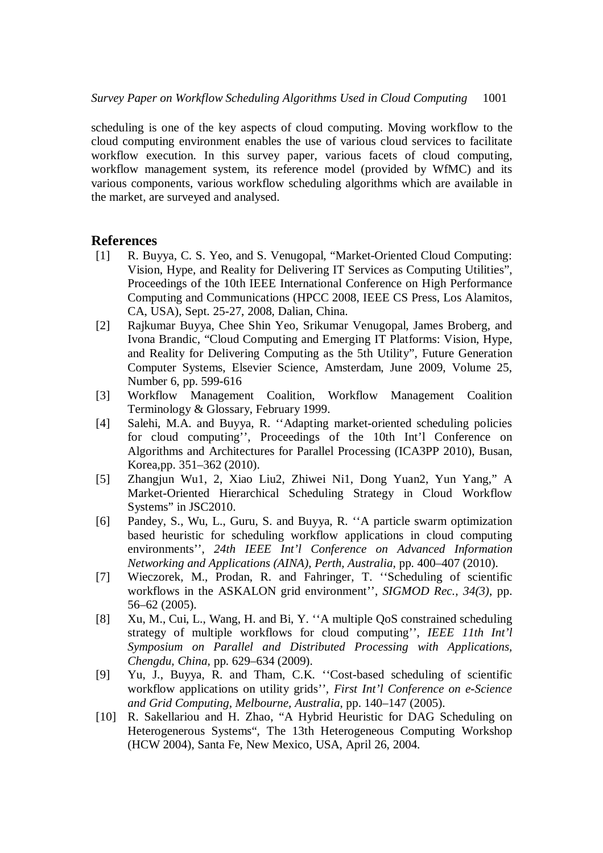scheduling is one of the key aspects of cloud computing. Moving workflow to the cloud computing environment enables the use of various cloud services to facilitate workflow execution. In this survey paper, various facets of cloud computing, workflow management system, its reference model (provided by WfMC) and its various components, various workflow scheduling algorithms which are available in the market, are surveyed and analysed.

### **References**

- [1] R. Buyya, C. S. Yeo, and S. Venugopal, "Market-Oriented Cloud Computing: Vision, Hype, and Reality for Delivering IT Services as Computing Utilities", Proceedings of the 10th IEEE International Conference on High Performance Computing and Communications (HPCC 2008, IEEE CS Press, Los Alamitos, CA, USA), Sept. 25-27, 2008, Dalian, China.
- [2] Rajkumar Buyya, Chee Shin Yeo, Srikumar Venugopal, James Broberg, and Ivona Brandic, "Cloud Computing and Emerging IT Platforms: Vision, Hype, and Reality for Delivering Computing as the 5th Utility", Future Generation Computer Systems, Elsevier Science, Amsterdam, June 2009, Volume 25, Number 6, pp. 599-616
- [3] Workflow Management Coalition, Workflow Management Coalition Terminology & Glossary, February 1999.
- [4] Salehi, M.A. and Buyya, R. ''Adapting market-oriented scheduling policies for cloud computing'', Proceedings of the 10th Int'l Conference on Algorithms and Architectures for Parallel Processing (ICA3PP 2010), Busan, Korea,pp. 351–362 (2010).
- [5] Zhangjun Wu1, 2, Xiao Liu2, Zhiwei Ni1, Dong Yuan2, Yun Yang," A Market-Oriented Hierarchical Scheduling Strategy in Cloud Workflow Systems" in JSC2010.
- [6] Pandey, S., Wu, L., Guru, S. and Buyya, R. ''A particle swarm optimization based heuristic for scheduling workflow applications in cloud computing environments'', *24th IEEE Int'l Conference on Advanced Information Networking and Applications (AINA), Perth, Australia,* pp. 400–407 (2010).
- [7] Wieczorek, M., Prodan, R. and Fahringer, T. ''Scheduling of scientific workflows in the ASKALON grid environment'', *SIGMOD Rec., 34(3)*, pp. 56–62 (2005).
- [8] Xu, M., Cui, L., Wang, H. and Bi, Y. ''A multiple QoS constrained scheduling strategy of multiple workflows for cloud computing'', *IEEE 11th Int'l Symposium on Parallel and Distributed Processing with Applications, Chengdu, China,* pp. 629–634 (2009).
- [9] Yu, J., Buyya, R. and Tham, C.K. ''Cost-based scheduling of scientific workflow applications on utility grids''*, First Int'l Conference on e-Science and Grid Computing, Melbourne, Australia*, pp. 140–147 (2005).
- [10] R. Sakellariou and H. Zhao, "A Hybrid Heuristic for DAG Scheduling on Heterogenerous Systems", The 13th Heterogeneous Computing Workshop (HCW 2004), Santa Fe, New Mexico, USA, April 26, 2004.